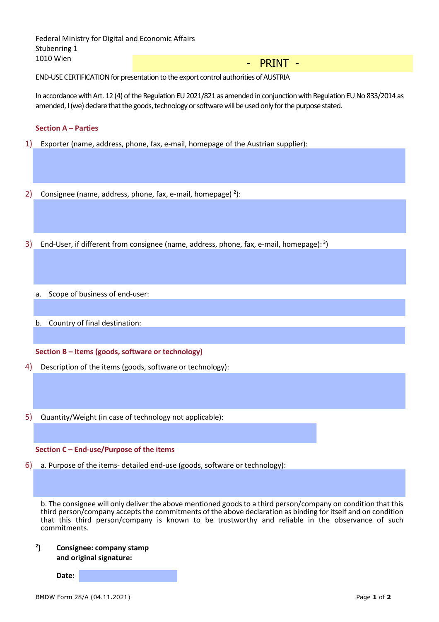| - PRINT - |  |  |  |  |
|-----------|--|--|--|--|
|           |  |  |  |  |
|           |  |  |  |  |
|           |  |  |  |  |
|           |  |  |  |  |
|           |  |  |  |  |
|           |  |  |  |  |
|           |  |  |  |  |
|           |  |  |  |  |
|           |  |  |  |  |
|           |  |  |  |  |
|           |  |  |  |  |
|           |  |  |  |  |
|           |  |  |  |  |